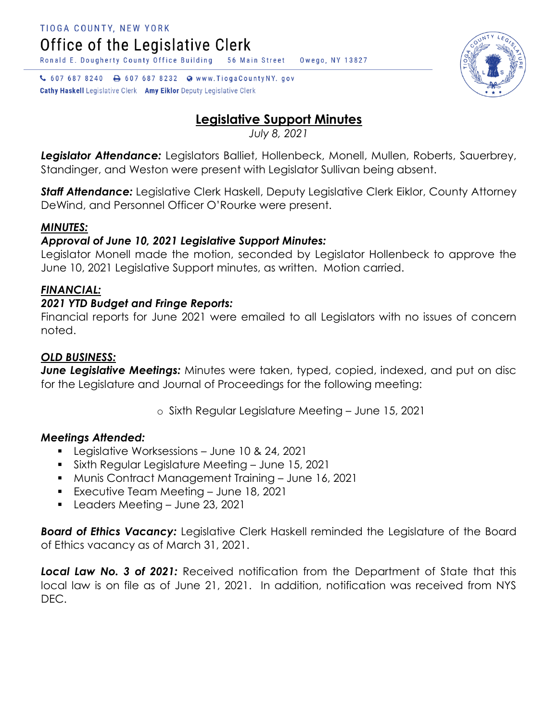Ronald E. Dougherty County Office Building

↓ 607 687 8240 → 607 687 8232 ● www.TiogaCountyNY.gov

**Cathy Haskell** Legislative Clerk Amy Eiklor Deputy Legislative Clerk

# **Legislative Support Minutes**

Owego, NY 13827

56 Main Street

*July 8, 2021*

*Legislator Attendance:* Legislators Balliet, Hollenbeck, Monell, Mullen, Roberts, Sauerbrey, Standinger, and Weston were present with Legislator Sullivan being absent.

*Staff Attendance:* Legislative Clerk Haskell, Deputy Legislative Clerk Eiklor, County Attorney DeWind, and Personnel Officer O'Rourke were present.

# *MINUTES:*

## *Approval of June 10, 2021 Legislative Support Minutes:*

Legislator Monell made the motion, seconded by Legislator Hollenbeck to approve the June 10, 2021 Legislative Support minutes, as written. Motion carried.

# *FINANCIAL:*

## *2021 YTD Budget and Fringe Reports:*

Financial reports for June 2021 were emailed to all Legislators with no issues of concern noted.

## *OLD BUSINESS:*

**June Legislative Meetings:** Minutes were taken, typed, copied, indexed, and put on disc for the Legislature and Journal of Proceedings for the following meeting:

o Sixth Regular Legislature Meeting – June 15, 2021

## *Meetings Attended:*

- **Legislative Worksessions June 10 & 24, 2021**
- Sixth Regular Legislature Meeting June 15, 2021
- Munis Contract Management Training June 16, 2021
- **Executive Team Meeting June 18, 2021**
- **Leaders Meeting June 23, 2021**

*Board of Ethics Vacancy:* Legislative Clerk Haskell reminded the Legislature of the Board of Ethics vacancy as of March 31, 2021.

*Local Law No. 3 of 2021:* Received notification from the Department of State that this local law is on file as of June 21, 2021. In addition, notification was received from NYS DEC.